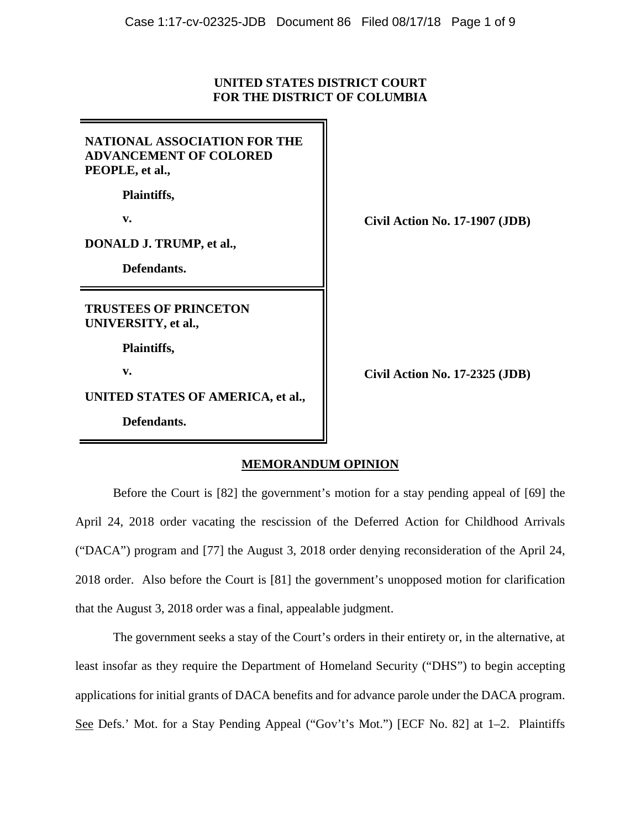## **UNITED STATES DISTRICT COURT FOR THE DISTRICT OF COLUMBIA**

| <b>NATIONAL ASSOCIATION FOR THE</b><br><b>ADVANCEMENT OF COLORED</b><br>PEOPLE, et al., |
|-----------------------------------------------------------------------------------------|
| Plaintiffs,                                                                             |
| v.                                                                                      |
| DONALD J. TRUMP, et al.,                                                                |
| Defendants.                                                                             |
|                                                                                         |
| <b>TRUSTEES OF PRINCETON</b><br>UNIVERSITY, et al.,                                     |
| Plaintiffs,                                                                             |
| $\mathbf{v}$ .                                                                          |
| UNITED STATES OF AMERICA, et al.,                                                       |

**v. Civil Action No. 17-1907 (JDB)**

**v. Civil Action No. 17-2325 (JDB)**

# **MEMORANDUM OPINION**

Before the Court is [82] the government's motion for a stay pending appeal of [69] the April 24, 2018 order vacating the rescission of the Deferred Action for Childhood Arrivals ("DACA") program and [77] the August 3, 2018 order denying reconsideration of the April 24, 2018 order. Also before the Court is [81] the government's unopposed motion for clarification that the August 3, 2018 order was a final, appealable judgment.

The government seeks a stay of the Court's orders in their entirety or, in the alternative, at least insofar as they require the Department of Homeland Security ("DHS") to begin accepting applications for initial grants of DACA benefits and for advance parole under the DACA program. See Defs.' Mot. for a Stay Pending Appeal ("Gov't's Mot.") [ECF No. 82] at 1–2. Plaintiffs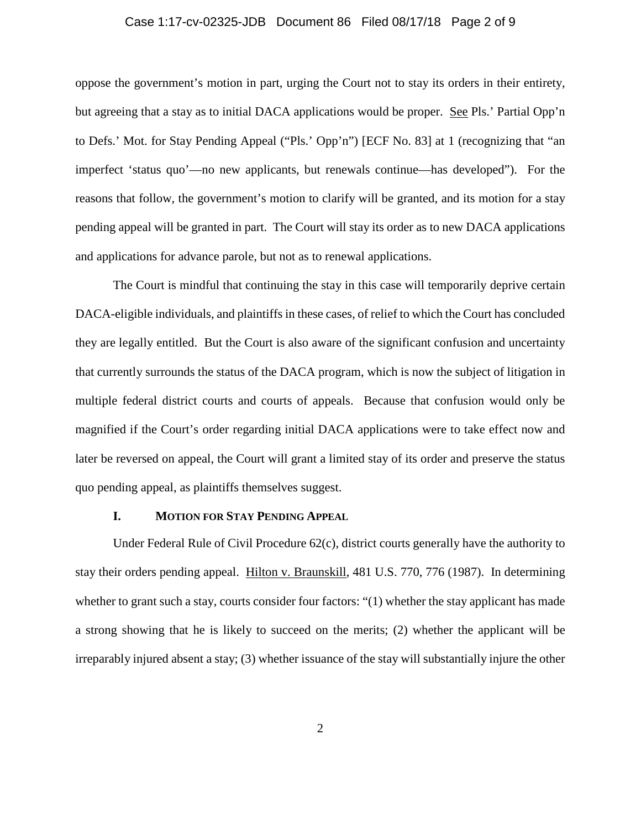#### Case 1:17-cv-02325-JDB Document 86 Filed 08/17/18 Page 2 of 9

oppose the government's motion in part, urging the Court not to stay its orders in their entirety, but agreeing that a stay as to initial DACA applications would be proper. See Pls.' Partial Opp'n to Defs.' Mot. for Stay Pending Appeal ("Pls.' Opp'n") [ECF No. 83] at 1 (recognizing that "an imperfect 'status quo'—no new applicants, but renewals continue—has developed"). For the reasons that follow, the government's motion to clarify will be granted, and its motion for a stay pending appeal will be granted in part. The Court will stay its order as to new DACA applications and applications for advance parole, but not as to renewal applications.

The Court is mindful that continuing the stay in this case will temporarily deprive certain DACA-eligible individuals, and plaintiffs in these cases, of relief to which the Court has concluded they are legally entitled. But the Court is also aware of the significant confusion and uncertainty that currently surrounds the status of the DACA program, which is now the subject of litigation in multiple federal district courts and courts of appeals. Because that confusion would only be magnified if the Court's order regarding initial DACA applications were to take effect now and later be reversed on appeal, the Court will grant a limited stay of its order and preserve the status quo pending appeal, as plaintiffs themselves suggest.

## **I. MOTION FOR STAY PENDING APPEAL**

Under Federal Rule of Civil Procedure 62(c), district courts generally have the authority to stay their orders pending appeal. Hilton v. Braunskill, 481 U.S. 770, 776 (1987). In determining whether to grant such a stay, courts consider four factors: "(1) whether the stay applicant has made a strong showing that he is likely to succeed on the merits; (2) whether the applicant will be irreparably injured absent a stay; (3) whether issuance of the stay will substantially injure the other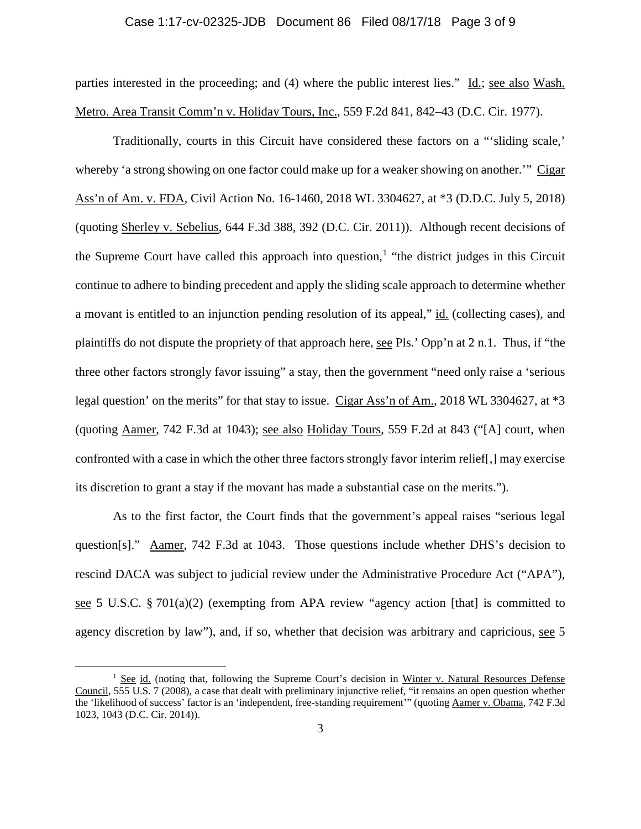### Case 1:17-cv-02325-JDB Document 86 Filed 08/17/18 Page 3 of 9

parties interested in the proceeding; and (4) where the public interest lies." Id.; see also Wash. Metro. Area Transit Comm'n v. Holiday Tours, Inc., 559 F.2d 841, 842–43 (D.C. Cir. 1977).

Traditionally, courts in this Circuit have considered these factors on a "'sliding scale,' whereby 'a strong showing on one factor could make up for a weaker showing on another.'" Cigar Ass'n of Am. v. FDA, Civil Action No. 16-1460, 2018 WL 3304627, at \*3 (D.D.C. July 5, 2018) (quoting Sherley v. Sebelius, 644 F.3d 388, 392 (D.C. Cir. 2011)). Although recent decisions of the Supreme Court have called this approach into question,<sup>1</sup> "the district judges in this Circuit continue to adhere to binding precedent and apply the sliding scale approach to determine whether a movant is entitled to an injunction pending resolution of its appeal," id. (collecting cases), and plaintiffs do not dispute the propriety of that approach here, see Pls.' Opp'n at 2 n.1. Thus, if "the three other factors strongly favor issuing" a stay, then the government "need only raise a 'serious legal question' on the merits" for that stay to issue. Cigar Ass'n of Am., 2018 WL 3304627, at \*3 (quoting Aamer, 742 F.3d at 1043); see also Holiday Tours, 559 F.2d at 843 ("[A] court, when confronted with a case in which the other three factors strongly favor interim relief[,] may exercise its discretion to grant a stay if the movant has made a substantial case on the merits.").

As to the first factor, the Court finds that the government's appeal raises "serious legal question[s]." Aamer, 742 F.3d at 1043. Those questions include whether DHS's decision to rescind DACA was subject to judicial review under the Administrative Procedure Act ("APA"), see 5 U.S.C. § 701(a)(2) (exempting from APA review "agency action [that] is committed to agency discretion by law"), and, if so, whether that decision was arbitrary and capricious, see 5

<sup>&</sup>lt;sup>1</sup> See id. (noting that, following the Supreme Court's decision in Winter v. Natural Resources Defense Council, 555 U.S. 7 (2008), a case that dealt with preliminary injunctive relief, "it remains an open question whether the 'likelihood of success' factor is an 'independent, free-standing requirement'" (quoting Aamer v. Obama, 742 F.3d 1023, 1043 (D.C. Cir. 2014)).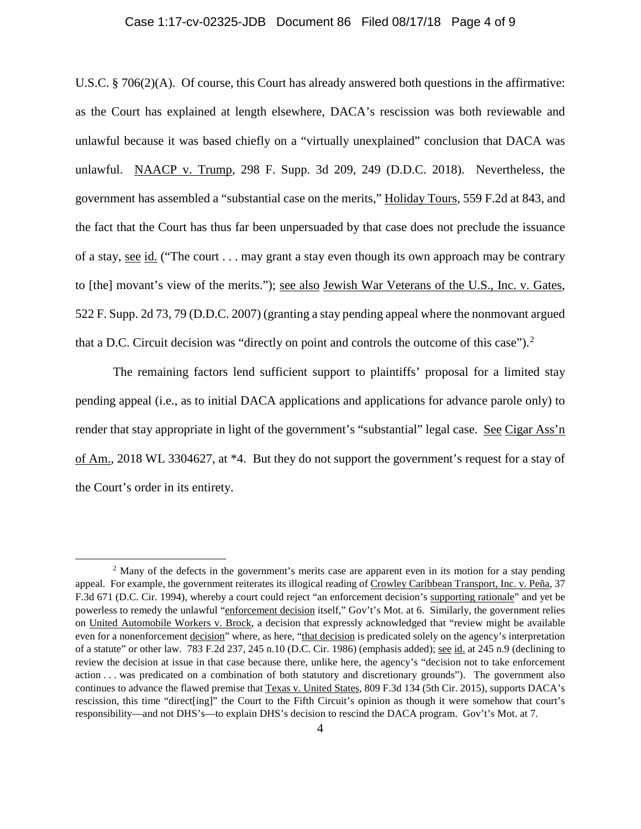## Case 1:17-cv-02325-JDB Document 86 Filed 08/17/18 Page 4 of 9

U.S.C. § 706(2)(A). Of course, this Court has already answered both questions in the affirmative: as the Court has explained at length elsewhere, DACA's rescission was both reviewable and unlawful because it was based chiefly on a "virtually unexplained" conclusion that DACA was unlawful. NAACP v. Trump, 298 F. Supp. 3d 209, 249 (D.D.C. 2018). Nevertheless, the government has assembled a "substantial case on the merits," Holiday Tours, 559 F.2d at 843, and the fact that the Court has thus far been unpersuaded by that case does not preclude the issuance of a stay, see id. ("The court . . . may grant a stay even though its own approach may be contrary to [the] movant's view of the merits."); see also Jewish War Veterans of the U.S., Inc. v. Gates, 522 F. Supp. 2d 73, 79 (D.D.C. 2007) (granting a stay pending appeal where the nonmovant argued that a D.C. Circuit decision was "directly on point and controls the outcome of this case"). $2$ 

The remaining factors lend sufficient support to plaintiffs' proposal for a limited stay pending appeal (i.e., as to initial DACA applications and applications for advance parole only) to render that stay appropriate in light of the government's "substantial" legal case. See Cigar Ass'n of Am., 2018 WL 3304627, at \*4. But they do not support the government's request for a stay of the Court's order in its entirety.

<sup>&</sup>lt;sup>2</sup> Many of the defects in the government's merits case are apparent even in its motion for a stay pending appeal. For example, the government reiterates its illogical reading of Crowley Caribbean Transport, Inc. v. Peña, 37 F.3d 671 (D.C. Cir. 1994), whereby a court could reject "an enforcement decision's supporting rationale" and yet be powerless to remedy the unlawful "enforcement decision itself," Gov't's Mot. at 6. Similarly, the government relies on United Automobile Workers v. Brock, a decision that expressly acknowledged that "review might be available even for a nonenforcement decision" where, as here, "that decision is predicated solely on the agency's interpretation of a statute" or other law. 783 F.2d 237, 245 n.10 (D.C. Cir. 1986) (emphasis added); see id. at 245 n.9 (declining to review the decision at issue in that case because there, unlike here, the agency's "decision not to take enforcement action . . . was predicated on a combination of both statutory and discretionary grounds"). The government also continues to advance the flawed premise that Texas v. United States, 809 F.3d 134 (5th Cir. 2015), supports DACA's rescission, this time "direct[ing]" the Court to the Fifth Circuit's opinion as though it were somehow that court's responsibility—and not DHS's—to explain DHS's decision to rescind the DACA program. Gov't's Mot. at 7.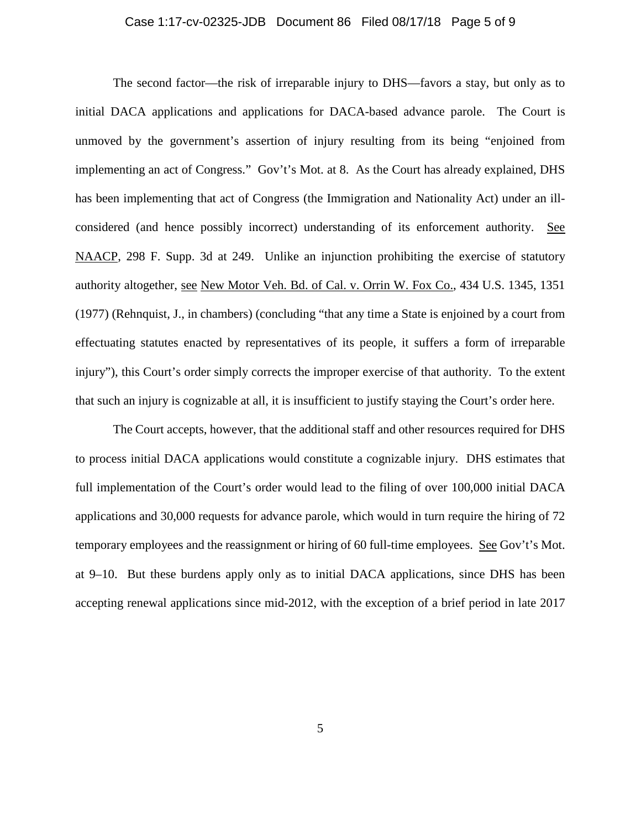#### Case 1:17-cv-02325-JDB Document 86 Filed 08/17/18 Page 5 of 9

The second factor—the risk of irreparable injury to DHS—favors a stay, but only as to initial DACA applications and applications for DACA-based advance parole. The Court is unmoved by the government's assertion of injury resulting from its being "enjoined from implementing an act of Congress." Gov't's Mot. at 8. As the Court has already explained, DHS has been implementing that act of Congress (the Immigration and Nationality Act) under an illconsidered (and hence possibly incorrect) understanding of its enforcement authority. See NAACP, 298 F. Supp. 3d at 249. Unlike an injunction prohibiting the exercise of statutory authority altogether, see New Motor Veh. Bd. of Cal. v. Orrin W. Fox Co., 434 U.S. 1345, 1351 (1977) (Rehnquist, J., in chambers) (concluding "that any time a State is enjoined by a court from effectuating statutes enacted by representatives of its people, it suffers a form of irreparable injury"), this Court's order simply corrects the improper exercise of that authority. To the extent that such an injury is cognizable at all, it is insufficient to justify staying the Court's order here.

The Court accepts, however, that the additional staff and other resources required for DHS to process initial DACA applications would constitute a cognizable injury. DHS estimates that full implementation of the Court's order would lead to the filing of over 100,000 initial DACA applications and 30,000 requests for advance parole, which would in turn require the hiring of 72 temporary employees and the reassignment or hiring of 60 full-time employees. See Gov't's Mot. at 9–10. But these burdens apply only as to initial DACA applications, since DHS has been accepting renewal applications since mid-2012, with the exception of a brief period in late 2017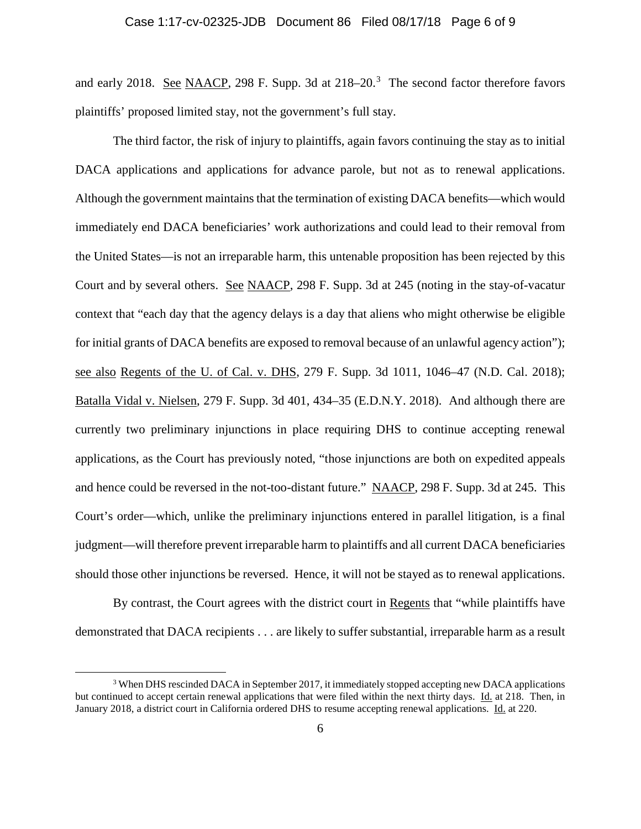and early 2018. See NAACP, 298 F. Supp. 3d at 218–20.<sup>3</sup> The second factor therefore favors plaintiffs' proposed limited stay, not the government's full stay.

The third factor, the risk of injury to plaintiffs, again favors continuing the stay as to initial DACA applications and applications for advance parole, but not as to renewal applications. Although the government maintains that the termination of existing DACA benefits—which would immediately end DACA beneficiaries' work authorizations and could lead to their removal from the United States—is not an irreparable harm, this untenable proposition has been rejected by this Court and by several others. See NAACP, 298 F. Supp. 3d at 245 (noting in the stay-of-vacatur context that "each day that the agency delays is a day that aliens who might otherwise be eligible for initial grants of DACA benefits are exposed to removal because of an unlawful agency action"); see also Regents of the U. of Cal. v. DHS, 279 F. Supp. 3d 1011, 1046–47 (N.D. Cal. 2018); Batalla Vidal v. Nielsen, 279 F. Supp. 3d 401, 434–35 (E.D.N.Y. 2018). And although there are currently two preliminary injunctions in place requiring DHS to continue accepting renewal applications, as the Court has previously noted, "those injunctions are both on expedited appeals and hence could be reversed in the not-too-distant future." NAACP, 298 F. Supp. 3d at 245. This Court's order—which, unlike the preliminary injunctions entered in parallel litigation, is a final judgment—will therefore prevent irreparable harm to plaintiffs and all current DACA beneficiaries should those other injunctions be reversed. Hence, it will not be stayed as to renewal applications.

By contrast, the Court agrees with the district court in Regents that "while plaintiffs have demonstrated that DACA recipients . . . are likely to suffer substantial, irreparable harm as a result

<sup>&</sup>lt;sup>3</sup> When DHS rescinded DACA in September 2017, it immediately stopped accepting new DACA applications but continued to accept certain renewal applications that were filed within the next thirty days. Id. at 218. Then, in January 2018, a district court in California ordered DHS to resume accepting renewal applications. Id. at 220.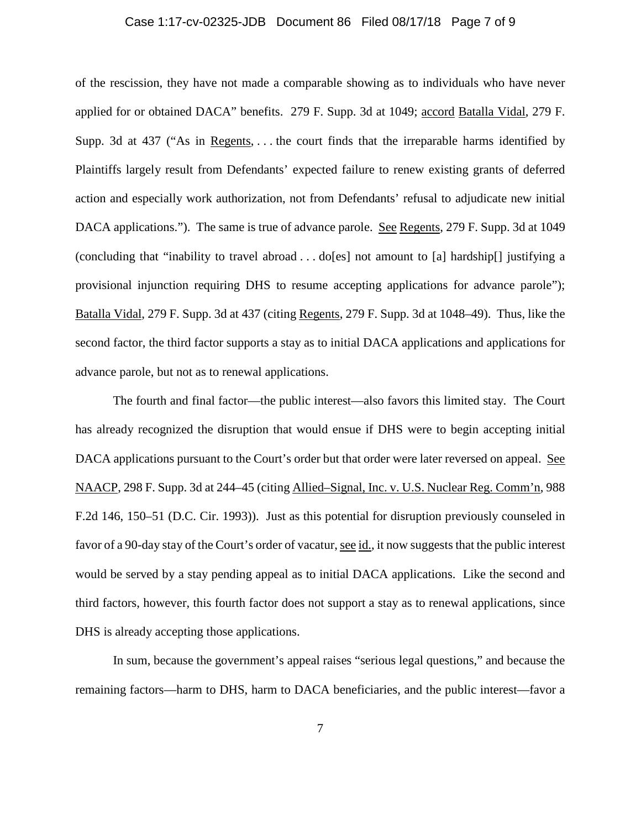### Case 1:17-cv-02325-JDB Document 86 Filed 08/17/18 Page 7 of 9

of the rescission, they have not made a comparable showing as to individuals who have never applied for or obtained DACA" benefits. 279 F. Supp. 3d at 1049; accord Batalla Vidal, 279 F. Supp. 3d at 437 ("As in Regents, . . . the court finds that the irreparable harms identified by Plaintiffs largely result from Defendants' expected failure to renew existing grants of deferred action and especially work authorization, not from Defendants' refusal to adjudicate new initial DACA applications."). The same is true of advance parole. See Regents, 279 F. Supp. 3d at 1049 (concluding that "inability to travel abroad . . . do[es] not amount to [a] hardship[] justifying a provisional injunction requiring DHS to resume accepting applications for advance parole"); Batalla Vidal, 279 F. Supp. 3d at 437 (citing Regents, 279 F. Supp. 3d at 1048–49). Thus, like the second factor, the third factor supports a stay as to initial DACA applications and applications for advance parole, but not as to renewal applications.

The fourth and final factor—the public interest—also favors this limited stay. The Court has already recognized the disruption that would ensue if DHS were to begin accepting initial DACA applications pursuant to the Court's order but that order were later reversed on appeal. See NAACP, 298 F. Supp. 3d at 244–45 (citing Allied–Signal, Inc. v. U.S. Nuclear Reg. Comm'n, 988 F.2d 146, 150–51 (D.C. Cir. 1993)). Just as this potential for disruption previously counseled in favor of a 90-day stay of the Court's order of vacatur, see id., it now suggests that the public interest would be served by a stay pending appeal as to initial DACA applications. Like the second and third factors, however, this fourth factor does not support a stay as to renewal applications, since DHS is already accepting those applications.

In sum, because the government's appeal raises "serious legal questions," and because the remaining factors—harm to DHS, harm to DACA beneficiaries, and the public interest—favor a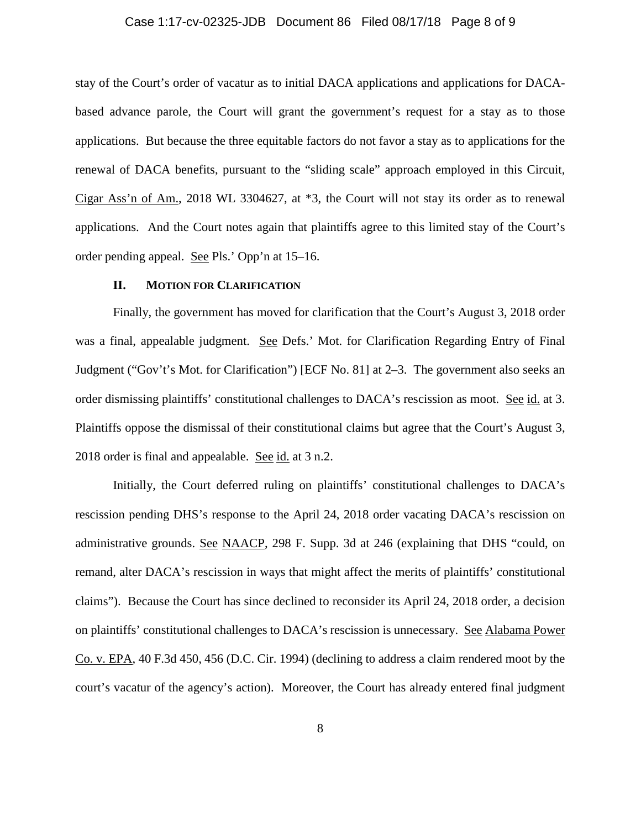## Case 1:17-cv-02325-JDB Document 86 Filed 08/17/18 Page 8 of 9

stay of the Court's order of vacatur as to initial DACA applications and applications for DACAbased advance parole, the Court will grant the government's request for a stay as to those applications. But because the three equitable factors do not favor a stay as to applications for the renewal of DACA benefits, pursuant to the "sliding scale" approach employed in this Circuit, Cigar Ass'n of Am., 2018 WL 3304627, at \*3, the Court will not stay its order as to renewal applications. And the Court notes again that plaintiffs agree to this limited stay of the Court's order pending appeal. See Pls.' Opp'n at 15–16.

## **II. MOTION FOR CLARIFICATION**

Finally, the government has moved for clarification that the Court's August 3, 2018 order was a final, appealable judgment. See Defs.' Mot. for Clarification Regarding Entry of Final Judgment ("Gov't's Mot. for Clarification") [ECF No. 81] at 2–3. The government also seeks an order dismissing plaintiffs' constitutional challenges to DACA's rescission as moot. See id. at 3. Plaintiffs oppose the dismissal of their constitutional claims but agree that the Court's August 3, 2018 order is final and appealable. See id. at 3 n.2.

Initially, the Court deferred ruling on plaintiffs' constitutional challenges to DACA's rescission pending DHS's response to the April 24, 2018 order vacating DACA's rescission on administrative grounds. See NAACP, 298 F. Supp. 3d at 246 (explaining that DHS "could, on remand, alter DACA's rescission in ways that might affect the merits of plaintiffs' constitutional claims"). Because the Court has since declined to reconsider its April 24, 2018 order, a decision on plaintiffs' constitutional challenges to DACA's rescission is unnecessary. See Alabama Power Co. v. EPA, 40 F.3d 450, 456 (D.C. Cir. 1994) (declining to address a claim rendered moot by the court's vacatur of the agency's action). Moreover, the Court has already entered final judgment